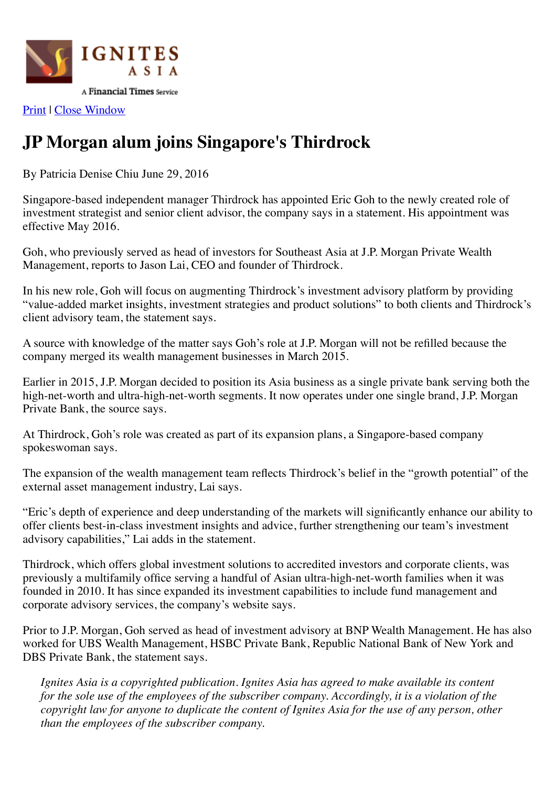

[Print](javascript:%20window.print();) | [Close Window](javascript:%20window.close();)

## **JP Morgan alum joins Singapore's Thirdrock**

By Patricia Denise Chiu June 29, 2016

Singapore-based independent manager Thirdrock has appointed Eric Goh to the newly created role of investment strategist and senior client advisor, the company says in a statement. His appointment was effective May 2016.

Goh, who previously served as head of investors for Southeast Asia at J.P. Morgan Private Wealth Management, reports to Jason Lai, CEO and founder of Thirdrock.

In his new role, Goh will focus on augmenting Thirdrock's investment advisory platform by providing "value-added market insights, investment strategies and product solutions" to both clients and Thirdrock's client advisory team, the statement says.

A source with knowledge of the matter says Goh's role at J.P. Morgan will not be refilled because the company merged its wealth management businesses in March 2015.

Earlier in 2015, J.P. Morgan decided to position its Asia business as a single private bank serving both the high-net-worth and ultra-high-net-worth segments. It now operates under one single brand, J.P. Morgan Private Bank, the source says.

At Thirdrock, Goh's role was created as part of its expansion plans, a Singapore-based company spokeswoman says.

The expansion of the wealth management team reflects Thirdrock's belief in the "growth potential" of the external asset management industry, Lai says.

"Eric's depth of experience and deep understanding of the markets will significantly enhance our ability to offer clients best-in-class investment insights and advice, further strengthening our team's investment advisory capabilities," Lai adds in the statement.

Thirdrock, which offers global investment solutions to accredited investors and corporate clients, was previously a multifamily office serving a handful of Asian ultra-high-net-worth families when it was founded in 2010. It has since expanded its investment capabilities to include fund management and corporate advisory services, the company's website says.

Prior to J.P. Morgan, Goh served as head of investment advisory at BNP Wealth Management. He has also worked for UBS Wealth Management, HSBC Private Bank, Republic National Bank of New York and DBS Private Bank, the statement says.

*Ignites Asia is a copyrighted publication. Ignites Asia has agreed to make available its content for the sole use of the employees of the subscriber company. Accordingly, it is a violation of the copyright law for anyone to duplicate the content of Ignites Asia for the use of any person, other than the employees of the subscriber company.*